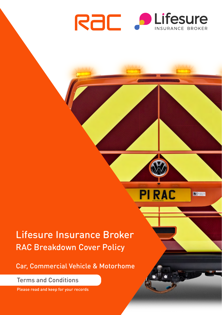

**PIRAC** 

 $\boxed{0}$ 

# Lifesure Insurance Broker RAC Breakdown Cover Policy

Car, Commercial Vehicle & Motorhome

Terms and Conditions

Please read and keep for your records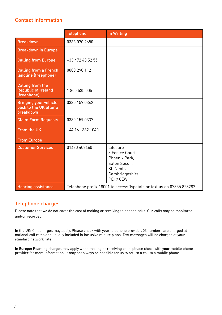# Contact information

|                                                                     | <b>Telephone</b>                                                     | <b>In Writing</b>                                                                                                      |
|---------------------------------------------------------------------|----------------------------------------------------------------------|------------------------------------------------------------------------------------------------------------------------|
| <b>Breakdown</b>                                                    | 0333 070 2680                                                        |                                                                                                                        |
| <b>Breakdown in Europe</b>                                          |                                                                      |                                                                                                                        |
| <b>Calling from Europe</b>                                          | +33 472 43 52 55                                                     |                                                                                                                        |
| <b>Calling from a French</b><br>landline (freephone)                | 0800 290 112                                                         |                                                                                                                        |
| Calling from the<br><b>Republic of Ireland</b><br>(freephone)       | 1 800 535 005                                                        |                                                                                                                        |
| <b>Bringing your vehicle</b><br>back to the UK after a<br>breakdown | 0330 159 0342                                                        |                                                                                                                        |
| <b>Claim Form Requests</b>                                          | 0330 159 0337                                                        |                                                                                                                        |
| From the UK                                                         | $+44$ 161 332 1040                                                   |                                                                                                                        |
| <b>From Europe</b>                                                  |                                                                      |                                                                                                                        |
| <b>Customer Services</b>                                            | 01480 402460                                                         | <b>Lifesure</b><br>3 Fenice Court.<br>Phoenix Park,<br>Eaton Socon,<br>St. Neots,<br>Cambridgeshire<br><b>PE19 8EW</b> |
| <b>Hearing assistance</b>                                           | Telephone prefix 18001 to access Typetalk or text us on 07855 828282 |                                                                                                                        |

# Telephone charges

Please note that we do not cover the cost of making or receiving telephone calls. Our calls may be monitored and/or recorded.

In the UK: Call charges may apply. Please check with your telephone provider. 03 numbers are charged at national call rates and usually included in inclusive minute plans. Text messages will be charged at your standard network rate.

In Europe: Roaming charges may apply when making or receiving calls, please check with your mobile phone provider for more information. It may not always be possible for us to return a call to a mobile phone.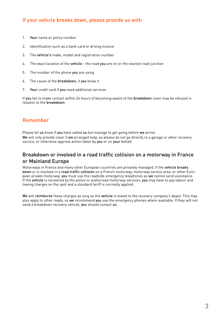# If your vehicle breaks down, please provide us with

- 1. Your name or policy number
- 2. Identification such as a bank card or driving licence
- 3. The vehicle's make, model and registration number
- 4. The exact location of the vehicle the road you are on or the nearest road junction
- 5. The number of the phone you are using
- 6. The cause of the breakdown, if you know it
- 7. Your credit card if you need additional services

If you fail to make contact within 24 hours of becoming aware of the breakdown cover may be refused in relation to the breakdown.

### Remember

Please let us know if you have called us but manage to get going before we arrive. We will only provide cover if we arranged help, so please do not go directly to a garage or other recovery

service, or otherwise approve action taken by you or on your behalf.

### Breakdown or involved in a road traffic collision on a motorway in France or Mainland Europe

Motorways in France and many other European countries are privately managed. If the vehicle breaks down or is involved in a road traffic collision on a French motorway, motorway service area, or other European private motorway, you must use the roadside emergency telephones as we cannot send assistance. If the vehicle is recovered by the police or authorised motorway services, you may have to pay labour and towing charges on the spot and a standard tariff is normally applied.

We will reimburse these charges as long as the vehicle is towed to the recovery company's depot. This may also apply to other roads, so we recommend you use the emergency phones where available. If they will not send a breakdown recovery vehicle, you should contact us.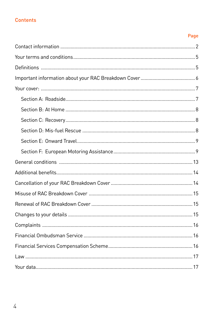# **Contents**

# Page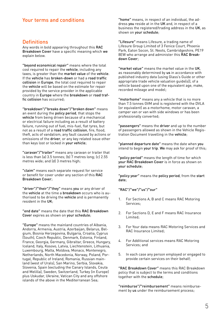### Your terms and conditions

### **Definitions**

Any words in bold appearing throughout this RAC Breakdown Cover have a specific meaning which we explain below.

"beyond economical repair" means where the total cost required to repair the vehicle, including any taxes, is greater than the market value of the vehicle. If the vehicle has broken-down or had a road traffic collision in Europe, the total cost required to repair the vehicle will be based on the estimate for repair provided by the service provider in the applicable country in Europe where the breakdown or road traffic collision has occurred;

"breakdown"/"breaks down"/"broken down" means an event during the policy period, that stops the vehicle from being driven because of a mechanical or electrical failure including as a result of battery failure, running out of fuel, mis-fuel, flat tyres, but not as a result of a road traffic collision, fire, flood, theft, acts of vandalism, any fault caused by actions or omissions of the driver, or any key related issue other than keys lost or locked in your vehicle;

"caravan"/"trailer" means any caravan or trailer that is less than (a) 3.5 tonnes; (b) 7 metres long; (c) 2.55 metres wide; and (d) 3 metres high;

"claim" means each separate request for service or benefit for cover under any section of this RAC Breakdown Cover;

"driver"/"their"/"they" means you or any driver of the vehicle at the time a breakdown occurs who is authorised to be driving the vehicle and is permanently resident in the UK;

"end date" means the date that this RAC Breakdown Cover expires as shown on your schedule;

"Europe" means the mainland countries of Albania, Andorra, Armenia, Austria, Azerbaijan, Belarus, Belgium, Bosnia Herzegovina, Bulgaria, Croatia, Cyprus (South), Czech Republic, Denmark, Estonia, Finland, France, Georgia, Germany, Gibraltar, Greece, Hungary, Iceland, Italy, Kosovo, Latvia, Liechtenstein, Lithuania, Luxembourg, Malta, Moldova, Monaco, Montenegro, Netherlands, North Macedonia, Norway, Poland, Portugal, Republic of Ireland, Romania, Russian mainland (west of Urals), San Marino, Serbia, Slovakia, Slovenia, Spain (excluding the Canary Islands, Ceuta and Melilla), Sweden, Switzerland, Turkey (in Europe) plus Uskudar, Ukraine, Vatican City and any offshore islands of the above in the Mediterranean Sea;

"home" means, in respect of an individual, the address you reside at in the UK and, in respect of a business the registered/trading address in the UK, as shown on your schedule;

"Lifesure" means Lifesure, a trading name of Lifesure Group Limited of 3 Fenice Court, Phoenix Park, Eaton Socon, St. Neots, Cambridgeshire, PE19 8EW who arrange and administer this RAC Breakdown Cover;

"market value" means the market value in the UK, as reasonably determined by us in accordance with published industry data (using Glass's Guide or other appropriate trade vehicle valuation guide(s)), of a vehicle based upon one of the equivalent age, make, recorded mileage and model;

"motorhome" means any a vehicle that is no more than 7.5 tonnes GVM and is registered with the DVLA (or equivalent) as a motorhome, motor caravan, a camper van or van with side windows or has been professionally converted;

"passengers" means the driver and up to the number of passengers allowed as shown in the Vehicle Registration Document travelling in the vehicle;

"planned departure date" means the date when you intend to begin your trip. We may ask for proof of this;

"policy period" means the length of time for which your RAC Breakdown Cover is in force as shown on .<br>vour schedule:

"policy year" means the policy period, from the start date;

"RAC"/"we"/"us"/"our"

- 1. For Sections A, B and C means RAC Motoring Services;
- 2. For Sections D, E and F means RAC Insurance Limited;
- 3. For Your data means RAC Motoring Services and RAC Insurance Limited;
- 4. For Additional services means RAC Motoring Services; and
- 5. In each case any person employed or engaged to provide certain services on their behalf;

"RAC Breakdown Cover" means this RAC Breakdown policy that is subject to the terms and conditions together with the schedule;

"reimburse"/"reimbursement" means reimbursement by us under the reimbursement process;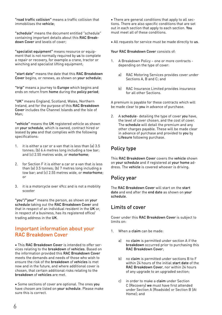"road traffic collision" means a traffic collision that immobilises the vehicle;

"schedule" means the document entitled "schedule" containing important details about this RAC Breakdown Cover and levels of cover;

"specialist equipment" means resource or equipment that is not normally required by us to complete a repair or recovery, for example a crane, tractor or winching and specialist lifting equipment;

"start date" means the date that this RAC Breakdown Cover begins, or renews, as shown on your schedule;

"trip" means a journey to Europe which begins and ends on return from home during the policy period;

"UK" means England, Scotland, Wales, Northern Ireland, and for the purpose of this RAC Breakdown Cover includes the Channel Islands and the Isle of Man;

"vehicle" means the UK registered vehicle as shown on your schedule, which is owned, contract hired or leased by you and that complies with the following specifications:

- 1. it is either a car or a van that is less than (a) 3.5 tonnes; (b) 6.4 metres long including a tow bar; and (c) 2.55 metres wide, or motorhome;
- 2. for Section F it is either a car or a van that is less than (a) 3.5 tonnes; (b) 7 metres long including a tow bar; and (c) 2.55 metres wide, or motorhome; or
- 3. it is a motorcycle over 49cc and is not a mobility scooter

"you"/"your" means the person, as shown on your schedule taking out the RAC Breakdown Cover and that in respect of an individual resident in the UK or, in respect of a business, has its registered office/ trading address in the UK.

# Important information about your RAC Breakdown Cover

• This RAC Breakdown Cover is intended to offer services relating to the breakdown of vehicles. Based on the information provided this RAC Breakdown Cover meets the demands and needs of those who wish to ensure the risk of the breakdown of vehicles is met now and in the future, and where additional cover is chosen, that certain additional risks relating to the breakdown of vehicles are met.

• Some sections of cover are optional. The ones you have chosen are listed on your schedule. Please make sure this is correct.

• There are general conditions that apply to all sections. There are also specific conditions that are set out in each section that apply to each section. You must meet all of these conditions.

• All requests for service must be made directly to us.

#### Your RAC Breakdown Cover consists of

- 1. A Breakdown Policy one or more contracts depending on the type of cover:
	- a) RAC Motoring Services provides cover under Sections  $A$ , B and  $C_1$  and
	- b) RAC Insurance Limited provides insurance for all other Sections.

A premium is payable for these contracts which will be made clear to you in advance of purchase.

2. A schedule- detailing the type of cover you have, the level of cover chosen, and the cost of cover. The schedule will detail the premium and any other charges payable. These will be made clear in advance of purchase and provided to you by Lifesure following purchase.

# Policy type

This RAC Breakdown Cover covers the vehicle shown on your schedule and if registered at your home address. The vehicle is covered whoever is driving.

#### Policy year

The RAC Breakdown Cover will start on the start date and end after the end date as shown on your schedule.

# Limits of cover

Cover under this RAC Breakdown Cover is subject to limits on:

- 1. When a claim can be made:
	- a) no claim is permitted under section A if the breakdown occurred prior to purchasing this RAC Breakdown Cover;
	- b) no claim is permitted under sections B to F within 24 hours of the initial start date of the RAC Breakdown Cover, nor within 24 hours of any upgrade to an upgraded section;
	- c) in order to make a claim under Section C (Recovery) we must have first attended under Section A (Roadside) or Section B (At Home); and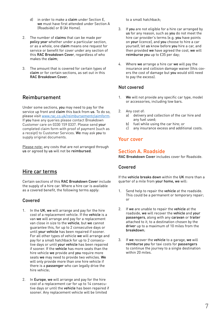- d) in order to make a claim under Section E, we must have first attended under Section A (Roadside) or B (At Home).
- 2. The number of claims that can be made per policy year whether under a particular section, or as a whole, one claim means one request for service or benefit for cover under any section of this RAC Breakdown Cover, regardless of who makes the claim;
- 3. The amount that is covered for certain types of claim or for certain sections, as set out in this RAC Breakdown Cover.

# Reimbursement

Under some sections, you may need to pay for the service up front and claim this back from us. To do so, please visit [www.rac.co.uk/reimbursementclaimform](http://www.rac.co.uk/reimbursementclaimform). If you have any queries please contact Breakdown Customer care on 0330 159 0337. Please send your completed claim form with proof of payment (such as a receipt) to Customer Services. We may ask you to supply original documents.

Please note: any costs that are not arranged through us or agreed by us will not be reimbursed.

# Hire car terms

Certain sections of this RAC Breakdown Cover include the supply of a hire car. Where a hire car is available as a covered benefit, the following terms apply:

### Covered

- 1. In the UK, we will arrange and pay for the hire cost of a replacement vehicle. If the vehicle is a van we will arrange and pay for a replacement van close in size to the vehicle, but we cannot guarantee this, for up to 2 consecutive days or until your vehicle has been repaired if sooner. For all other types of vehicle we will arrange and pay for a small hatchback for up to 2 consecutive days or until your vehicle has been repaired if sooner. If the vehicle has more seats than the hire vehicle we provide and you require more seats we may need to provide two vehicles. We will only provide more than one hire vehicle if there is a passenger who can legally drive the hire vehicle;
- 2. In Europe, we will arrange and pay for the hire cost of a replacement car for up to 14 consecutive days or until the vehicle has been repaired if sooner. Any replacement vehicle will be limited

to a small hatchback;

- 3. If you are not eligible for a hire car arranged by us for any reason, such as you do not meet the hire car provider's terms (e.g. you have points on your licence), and you choose to hire a car yourself, let us know before you hire a car, and then provided we have agreed the cost, we will reimburse you up to £35 per day;
- 4. Where we arrange a hire car we will pay the insurance and collision damage waiver (this covers the cost of damage but you would still need to pay the excess).

### Not covered

- 1. We will not provide any specific car type, model or accessories, including tow bars.
- 2. Any cost of:
	- a) delivery and collection of the car hire and any fuel used;
	- b) fuel while using the car hire; or
	- c) any insurance excess and additional costs.

### Your cover

### Section A. Roadside

RAC Breakdown Cover includes cover for Roadside.

#### Covered

If the vehicle breaks down within the UK more than a quarter of a mile from your home, we will:

- 1. Send help to repair the vehicle at the roadside. This could be a permanent or temporary repair; or
- 2. If we are unable to repair the vehicle at the roadside, we will recover the vehicle and your passengers, along with any caravan or trailer attached to it, to a destination chosen by the driver up to a maximum of 10 miles from the breakdown;
- 3. If we recover the vehicle to a garage, we will reimburse you for taxi costs for passengers to continue the journey to a single destination within 20 miles.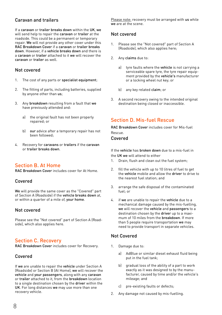### Caravan and trailers

If a caravan or trailer breaks down within the UK, we will send help to repair the caravan or trailer at the roadside. This could be a permanent or temporary repair. We will not provide any other cover under this RAC Breakdown Cover if a caravan or trailer breaks down. However, if a vehicle breaks down and there is a caravan or trailer attached to it we will recover the caravan or trailer as well.

#### Not covered

- 1. The cost of any parts or specialist equipment;
- 2. The fitting of parts, including batteries, supplied by anyone other than us;
- 3. Any breakdown resulting from a fault that we have previously attended and:
	- a) the original fault has not been properly repaired; or
	- b) our advice after a temporary repair has not been followed;
- 4. Recovery for caravans or trailers if the caravan or trailer breaks down.

### Section B. At Home

RAC Breakdown Cover includes cover for At Home.

#### Covered

We will provide the same cover as the "Covered" part of Section A (Roadside) if the vehicle breaks down at, or within a quarter of a mile of, your home.

#### Not covered

Please see the "Not covered" part of Section A (Roadside), which also applies here.

### Section C. Recovery

RAC Breakdown Cover includes cover for Recovery.

#### Covered

If we are unable to repair the vehicle under Section A (Roadside) or Section B (At Home), we will recover the vehicle and your passengers, along with any caravan or trailer attached to it, from the breakdown location to a single destination chosen by the driver within the UK. For long distances we may use more than one recovery vehicle.

Please note: recovery must be arranged with us while we are at the scene.

#### Not covered

- 1. Please see the "Not covered" part of Section A (Roadside), which also applies here;
- 2. Any claims due to:
	- a) tyre faults where the vehicle is not carrying a serviceable spare tyre, the tyre repair equipment provided by the vehicle's manufacturer or a locking wheel nut key; or
	- b) any key related claim; or
- 3. A second recovery owing to the intended original destination being closed or inaccessible.

# Section D. Mis-fuel Rescue

RAC Breakdown Cover includes cover for Mis-fuel Rescue.

#### Covered

If the vehicle has broken down due to a mis-fuel in the UK we will attend to either

- 1. Drain, flush and clean out the fuel system;
- 2. fill the vehicle with up to 10 litres of fuel to get the vehicle mobile and allow the driver to drive to the nearest fuel station; and
- 3. arrange the safe disposal of the contaminated fuel; or
- 4. if we are unable to repair the vehicle due to a mechanical damage caused by the mis-fuelling, we will recover the vehicle and passengers to a destination chosen by the driver up to a maximum of 10 miles from the breakdown. If more than 5 people require transportation we may need to provide transport in separate vehicles.

### Not Covered

- 1. Damage due to:
	- a) AdBlue or similar diesel exhaust fluid being put in the fuel tank;
	- b) aradual loss of the ability of a part to work exactly as it was designed to by the manufacturer, caused by time and/or the vehicle's mileage; and
	- c) pre-existing faults or defects;
- Any damage not caused by mis-fuelling.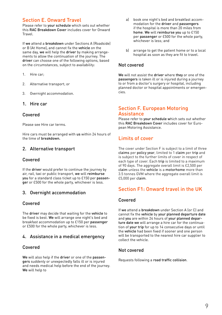### Section E. Onward Travel

Please refer to your schedule which sets out whether this RAC Breakdown Cover includes cover for Onward Travel.

If we attend a breakdown under Sections A (Roadside) or B (At Home), and cannot fix the vehicle on the same day, we will help the driver by making arrangements to allow the continuation of the journey. The driver can choose one of the following options, based on the circumstances, subject to availability:

- 1. Hire car;
- 2. Alternative transport; or
- 3. Overnight accommodation.
- 1. Hire car

#### Covered

Please see Hire car terms.

Hire cars must be arranged with us within 24 hours of the time of breakdown.

#### 2. Alternative transport

#### Covered

If the driver would prefer to continue the journey by air, rail, taxi or public transport, we will reimburse you for a standard class ticket up to £150 per passenger or £500 for the whole party, whichever is less.

#### 3. Overnight accommodation

#### Covered

The driver may decide that waiting for the vehicle to be fixed is best. We will arrange one night's bed and breakfast accommodation up to £150 per passenger or £500 for the whole party, whichever is less.

#### 4. Assistance in a medical emergency

#### Covered

We will also help if the driver or one of the passengers suddenly or unexpectedly falls ill or is injured and needs medical help before the end of the journey. We will help to

- a) book one night's bed and breakfast accommodation for the driver and passengers if the hospital is more than 20 miles from home. We will reimburse you up to £150 per passenger or £500 for the whole party, whichever is less; and
- b) arrange to get the patient home or to a local hospital as soon as they are fit to travel.

#### Not covered

We will not assist the driver where they or one of the passengers is taken ill or is injured during a journey to or from a doctor's surgery or hospital, including planned doctor or hospital appointments or emergencies.

### Section F. European Motoring **Assistance**

Please refer to your schedule which sets out whether this RAC Breakdown Cover includes cover for European Motoring Assistance.

### Limits of cover

The cover under Section F is subject to a limit of three claims per policy year, limited to 1 claim per trip and is subject to the further limits of cover in respect of each type of cover. Each trip is limited to a maximum of 90 days. The aggregate overall limit is £2,500 per claim unless the vehicle is a motorhome more than 3.5 tonnes GVM where the aggregate overall limit is £5,000 per claim.

### Section F1: Onward travel in the UK

#### Covered

If we attend a breakdown under Section A (or C) and cannot fix the vehicle by your planned departure date and you are within 24 hours of your planned departure date we will arrange a hire car for the continuation of your trip for up to 14 consecutive days or until the vehicle had been fixed if sooner and one person will be transported to the nearest hire car supplier to collect the vehicle.

#### Not covered

Requests following a road traffic collision.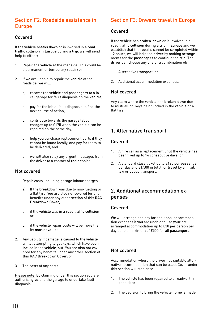# Section F2: Roadside assistance in Europe

#### Covered

If the vehicle breaks down or is involved in a road traffic collision in Europe during a trip, we will send help to either:

- 1. Repair the vehicle at the roadside. This could be a permanent or temporary repair; or
- 2. If we are unable to repair the vehicle at the roadside, we will:
	- a) recover the vehicle and passengers to a local garage for fault diagnosis on the vehicle;
	- b) pay for the initial fault diagnosis to find the next course of action;
	- c) contribute towards the garage labour charges up to £175 when the vehicle can be repaired on the same day;
	- d) help you purchase replacement parts if they cannot be found locally, and pay for them to be delivered; and
	- e) we will also relay any urgent messages from the driver to a contact of their choice.

#### Not covered

- 1. Repair costs, including garage labour charges:
	- a) If the breakdown was due to mis-fuelling or a flat tyre. You are also not covered for any benefits under any other section of this RAC Breakdown Cover;
	- b) if the vehicle was in a road traffic collision; or
	- c) if the vehicle repair costs will be more than its market value;
- 2. Any liability if damage is caused to the vehicle whilst attempting to get keys, which have been locked in the vehicle, out. You are also not covered for any benefits under any other section of this RAC Breakdown Cover; or
- 3. The costs of any parts.

Please note: By claiming under this section you are authorising us and the garage to undertake fault diagnosis.

# Section F3: Onward travel in Europe

#### Covered

If the vehicle has broken-down or is involved in a road traffic collision during a trip in Europe and we establish that the repairs cannot be completed within 12 hours, we will help the driver by making arrangements for the passengers to continue the trip. The driver can choose any one or a combination of:

- 1. Alternative transport; or
- 2. Additional accommodation expenses.

#### Not covered

Any claim where the vehicle has broken-down due to misfuelling, keys being locked in the vehicle or a flat tyre.

# 1. Alternative transport

#### Covered

- 1. A hire car as a replacement until the vehicle has been fixed up to 14 consecutive days; or
- 2. A standard class ticket up to £125 per passenger per day and £1,500 in total for travel by air, rail, taxi or public transport.

# 2. Additional accommodation expenses

#### Covered

We will arrange and pay for additional accommodation expenses if you are unable to use your prearranged accommodation up to £30 per person per day up to a maximum of £500 for all passengers.

#### Not covered

Accommodation where the driver has suitable alternative accommodation that can be used. Cover under this section will stop once:

- 1. The vehicle has been repaired to a roadworthy condition;
- 2. The decision to bring the vehicle home is made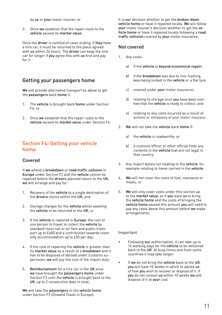by us or your motor insurer; or

3. Once we establish that the repair costs to the vehicle exceed its market value.

Once the driver is notified of cover ending, if they have a hire car, it must be returned to the place agreed with us within 24 hours. The driver can keep the hire car for longer if you agree this with us first and pay for it.

# Getting your passengers home

We will provide alternative transport as above to get the passengers back home if:

- 1. The vehicle is brought back home under Section F4; or
- 2. Once we establish that the repair costs to the vehicle exceed its market value under Section F4.

# Section F4: Getting your vehicle home

#### Covered

If we attend a breakdown or road traffic collision in Europe under Section F2 and the vehicle cannot be repaired before the drivers planned return to the UK, we will arrange and pay for:

- 1. Recovery of the vehicle to a single destination of the drivers choice within the  $\overline{UK}$ ; and
- 2. Storage charges for the vehicle whilst awaiting the vehicle to be returned to the UK; or
- 3. If the vehicle is repaired in Europe, the cost of one person to travel to collect the vehicle by standard class rail or air fare and public transport up to £600 and a contribution towards room only accommodation up to £50 per day;
- 4. If the cost of repairing the vehicle is greater than its market value as a result of a breakdown and it has to be disposed of abroad under Customs supervision, we will pay the cost of the import duty;
- 5. Reimbursement for a hire car in the UK once we have brought the passengers home under Section F3 until the vehicle is brought back to the UK, up to 2 consecutive days in total;

We will take the passengers in the vehicle home under Section F3 (Onward Travel in Europe).

It is our decision whether to get the broken-down vehicle home or have it repaired locally. We will follow your motor insurer's decision whether to get the vehicle home or have it repaired locally following a road traffic collision covered by your motor insurance.

#### Not covered

- 1. Any costs:
	- a) if the vehicle is beyond economical repair;
	- b) if the **breakdown** was due to mis-fuelling, keys being locked in the vehicle or a flat tyre;
	- c) covered under your motor insurance;
	- d) relating to storage once you have been notified that the vehicle is ready to collect; and
	- e) relating to any costs incurred as a result of actions or omissions of your motor insurers;
- 2. We will not take the vehicle back home if
	- a) the vehicle is roadworthy; or
	- b) a customs officer or other official finds any contents in the vehicle that are not legal in that country;
- 3. Any import duties not relating to the vehicle, for example relating to items carried in the vehicle;
- 4. We will not cover the costs of fuel, insurance or meals; or
- 5. We will only cover costs under this section up to the market value, so if you want us to bring the vehicle home and the costs of bringing the vehicle home exceed this amount you will need to pay any costs above this amount before we make arrangements.

#### Important

- Following our authorisation, it can take up to 14 working days for the vehicle to be delivered back to the UK. At busy times and from some countries it may take longer.
- If we do not bring the vehicle back to the UK, you will have 10 weeks in which to advise us of how you wish to recover or dispose of it. If you do not contact us within 10 weeks we will dispose of it at your cost.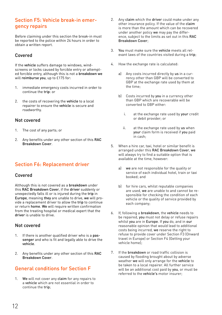# Section F5: Vehicle break-in emergency repairs

Before claiming under this section the break-in must be reported to the police within 24 hours in order to obtain a written report.

### Covered

If the vehicle suffers damage to windows, windscreens or locks caused by forcible entry or attempted forcible entry, although this is not a breakdown we will reimburse you, up to £175 for:

- 1. immediate emergency costs incurred in order to continue the trip: or
- 2. the costs of recovering the vehicle to a local repairer to ensure the vehicle is secure and roadworthy.

#### Not covered

- 1. The cost of any parts; or
- 2. Any benefits under any other section of this RAC Breakdown Cover.

# Section F6: Replacement driver

#### Covered

Although this is not covered as a breakdown under this RAC Breakdown Cover, if the driver suddenly or unexpectedly falls ill or is injured during the trip in Europe, meaning they are unable to drive, we will provide a replacement driver to allow the trip to continue or return home. We will require written confirmation from the treating hospital or medical expert that the driver is unable to drive.

#### Not covered

- 1. If there is another qualified driver who is a passenger and who is fit and legally able to drive the vehicle.
- 2. Any benefits under any other section of this RAC Breakdown Cover.

# General conditions for Section F

1. We will not cover any claim for any repairs to a vehicle which are not essential in order to continue the trip;

- 2. Any claim which the driver could make under any other insurance policy. If the value of the claim is more than the amount which can be recovered under another policy we may pay the difference, subject to the limits as set out in this RAC Breakdown Cover;
- 3. You must make sure the vehicle meets all relevant laws of the countries visited during a trip;
- 4. How the exchange rate is calculated:
	- a) Any costs incurred directly by us in a currency other than GBP will be converted to GBP at the exchange rate used by them at the time;
	- b) Costs incurred by you in a currency other than GBP which are recoverable will be converted to GBP either:
		- i. at the exchange rate used by your credit or debit provider; or
		- ii. at the exchange rate used by us when your claim form is received if you paid in cash;
- 5. When a hire car, taxi, hotel or similar benefit is arranged under this RAC Breakdown Cover, we will always try to find a suitable option that is available at the time, however:
	- a) we are not responsible for the quality or service of each individual hotel, train or taxi booked; and
	- b) for hire cars, whilst reputable companies are used, we are unable to and cannot be responsible for checking the condition of each vehicle or the quality of service provided by each company;
- 6. If, following a breakdown, the vehicle needs to be repaired, you must not delay or refuse repairs whilst you are in Europe. If you do, and in our reasonable opinion that would lead to additional costs being incurred, we reserve the right to refuse to provide cover under Section F3 (Onward travel in Europe) or Section F4 (Getting your vehicle home);
- 7. If the breakdown or road traffic collision is caused by flooding brought about by adverse weather we will only arrange for the vehicle to be taken to a local repairer. All further service will be an additional cost paid by you, or must be referred to the vehicle's motor insurer;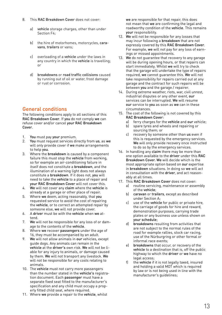- 8. This RAC Breakdown Cover does not cover:
	- a) vehicle storage charges, other than under Section F4;
	- b) the hire of motorhomes, motorcycles, caravans, trailers or vans;
	- c) overloading of a vehicle under the laws in any country in which the vehicle is travelling; or
	- d) breakdowns or road traffic collisions caused by running out of oil or water, frost damage or rust or corrosion.

# General conditions

The following conditions apply to all sections of this RAC Breakdown Cover. If you do not comply we can refuse cover and/or cancel your RAC Breakdown Cover

- 1. You must pay your premium.
- 2. You must request services directly from us, as we will only provide cover if we make arrangements to help you.
- 3. Where the breakdown is caused by a component failure this must stop the vehicle from working, so for example an air-conditioning failure in itself does not constitute a breakdown, and the illumination of a warning light does not always constitute a breakdown. If it does not, you will need to take the vehicle to a place of repair and your RAC Breakdown Cover will not cover this.
- 4. We will not cover any claim where the vehicle is already at a garage or other place of repair.
- 5. Where we deem, acting reasonably, that you requested service to avoid the cost of repairing the vehicle, or to correct an attempted repair by someone else, we will not provide cover.
- 6. A driver must be with the vehicle when we attend.
- 7. We will not be responsible for any loss of or damage to the contents of the vehicle.
- 8. Where we recover passengers under the age of 16, they must be accompanied by an adult.
- 9. We will not allow animals in our vehicles, except guide dogs. Any animals can remain in the vehicle at the driver's own risk. We will not be liable for any injury to animals, or damage caused by them. We will not transport any livestock. We will not be responsible for any costs relating to animals.
- 10. The vehicle must not carry more passengers than the number stated in the vehicle's registration document. Each passenger must have a separate fixed seat fitted to the manufacturer's specification and any child must occupy a properly fitted child seat, where required.
- 11. Where we provide a repair to the vehicle, whilst

we are responsible for that repair, this does not mean that we are confirming the legal and roadworthy condition of the vehicle. This remains your responsibility.

- 12. We will not be responsible for any losses that may incur following a breakdown that are not expressly covered by this RAC Breakdown Cover. For example, we will not pay for any loss of earnings or missed appointments.
- 13. We do not guarantee that recovery to any garage will be during opening hours, or that repairs can start immediately. Whilst we will try to check that the garage will undertake the type of repairs required, we cannot guarantee this. We will not take responsibility for repairs carried out at any garage and the contract for such repairs will be between you and the garage / repairer.
- 14. During extreme weather, riots, war, civil unrest, industrial disputes or any other event, our services can be interrupted. We will resume our service to you as soon as we can in these circumstances.
- 15. The cost of the following is not covered by this RAC Breakdown Cover:
	- a) ferry charges for the vehicle and our vehicle;
	- b) spare tyres and wheels and repairing or sourcing them; or
	- c) recovery by someone other than us even if this is requested by the emergency services. We will only provide recovery once instructed to do so by the emergency services.
- 16. In handling any claim there may be more than one option available to the driver under this RAC Breakdown Cover. We will decide which is the most appropriate option based on our expertise in breakdown situations. In doing so we will act in consultation with the driver, and act reasonably at all times.
- 17. This RAC Breakdown Cover does not cover: a) routine servicing, maintenance or assembly of the vehicle;
	- b) caravan or trailers, except as described under Section A;
	- c) use of the vehicle for public or private hire, the carriage of goods for hire and reward, demonstration purposes, carrying trade plates or any business use unless shown on your schedule;
	- d) breakdowns resulting from activities that are not subject to the normal rules of the road for example rallies, stock car racing, use of the Nürburgring or other formal or informal race events;
	- e) breakdowns that occur, or recovery of the vehicle to a destination that is, off the public highway to which the driver or we have no legal access;
	- the vehicle if it is not legally taxed, insured and holding a valid MOT which is required by law or is not being used in line with the manufacturer's guidelines;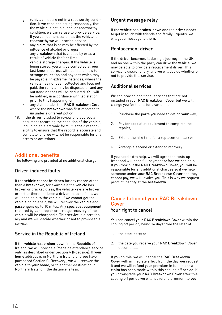- g) vehicles that are not in a roadworthy condition. If we consider, acting reasonably, that the vehicle is not in a legal or roadworthy condition, we can refuse to provide service. If you can demonstrate that the vehicle is roadworthy we will provide service;
- h) any claim that is or may be affected by the influence of alcohol or drugs;
- i) any breakdown that is caused by or as a result of vehicle theft or fire;
- j) vehicle storage charges. If the vehicle is being stored, you will be contacted at your last known address with details of how to arrange collection and any fees which may be payable. In extreme instances, where the vehicle has not been collected and fees not paid, the vehicle may be disposed or and any outstanding fees will be deducted. You will be notified, in accordance with legislation, prior to this happening; or
- k) any claim under this RAC Breakdown Cover where the breakdown was first reported to us under a different policy.
- 18. If the **driver** is asked to review and approve a document recording the condition of the vehicle, including an electronic form, it is their responsibility to ensure that the record is accurate and complete, and we will not be responsible for any errors or omissions.

# Additional benefits

The following are provided at no additional charge:

### Driver-induced faults

If the vehicle cannot be driven for any reason other than a breakdown, for example if the vehicle has broken or cracked glass, the vehicle keys are broken or lost or there has been a driver-induced fault, we will send help to the vehicle. If we cannot get the vehicle going again, we will recover the vehicle and passengers up to 10 miles. Any specialist equipment required by us to repair or arrange recovery of the vehicle will be chargeable. This service is discretionary and we will decide whether or not to provide this service.

### Service in the Republic of Ireland

If the vehicle has broken-down in the Republic of Ireland, we will provide a Roadside attendance service only, as described under Section A (Roadside). If your home address is in Northern Ireland and you have purchased Section C (Recovery), we will recover the vehicle to your home, or to another destination in Northern Ireland if the distance is less.

#### Urgent message relay

If the vehicle has broken-down and the driver needs to get in touch with friends and family urgently, we will get a message to them.

#### Replacement driver

If the driver becomes ill during a journey in the UK and no one within the party can drive the vehicle, we may be able to provide a replacement driver. This service is discretionary, and we will decide whether or not to provide this service.

### Additional services

We can provide additional services that are not included in your RAC Breakdown Cover but we will charge you for these, for example to:

- 1. Purchase the parts you need to get on your way;
- 2. Pay for specialist equipment to complete the repairs;
- 3. Extend the hire time for a replacement car; or
- 4. Arrange a second or extended recovery.

If you need extra help, we will agree the costs up front and will need full payment before we can help. If you took out the RAC Breakdown Cover, you will be responsible for any additional charges so if we help someone under your RAC Breakdown Cover and they cannot pay, we will invoice you. This is why we request proof of identity at the breakdown.

# Cancellation of your RAC Breakdown Cover

#### Your right to cancel

You can cancel your RAC Breakdown Cover within the cooling off period, being 14 days from the later of:

- 1. the start date; or
- 2. the date you receive your RAC Breakdown Cover documents.

If you do this, we will cancel the RAC Breakdown Cover with immediate effect from the day you request it and we will refund your premium in full unless a claim has been made within this cooling off period. If you downgrade your RAC Breakdown Cover after this cooling off period we will not refund premium to you;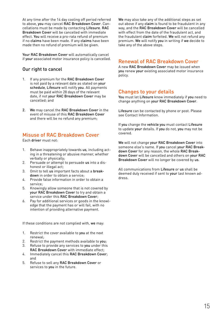At any time after the 14 day cooling off period referred to above, you may cancel RAC Breakdown Cover. Cancellations must be made by contacting Lifesure. RAC Breakdown Cover will be cancelled with immediate effect. You will receive a pro-rata refund of premium if no claims have been made. If any claims have been made then no refund of premium will be given.

Your RAC Breakdown Cover will automatically cancel if your associated motor insurance policy is cancelled.

### Our right to cancel

- 1. If any premium for the RAC Breakdown Cover is not paid by a relevant date as stated on your schedule, Lifesure will notify you. All payments must be paid within 28 days of the relevant date, if not your RAC Breakdown Cover may be cancelled; and
- 2. We may cancel the RAC Breakdown Cover in the event of misuse of this RAC Breakdown Cover and there will be no refund any premium;

# Misuse of RAC Breakdown Cover

Each driver must not:

- 1. Behave inappropriately towards us, including acting in a threatening or abusive manner, whether verbally or physically;
- 2. Persuade or attempt to persuade us into a dishonest or illegal act;
- 3. Omit to tell us important facts about a breakdown in order to obtain a service;
- 4. Provide false information in order to obtain a service;
- 5. Knowingly allow someone that is not covered by your RAC Breakdown Cover to try and obtain a service under this RAC Breakdown Cover;
- 6. Pay for additional services or goods in the knowledge that the payment has or will fail, with no intention of providing alternative payment.

If these conditions are not complied with, we may:

- 1. Restrict the cover available to you at the next renewal;
- 2. Restrict the payment methods available to you:
- 3. Refuse to provide any services to you under this RAC Breakdown Cover with immediate effect;
- 4. Immediately cancel this RAC Breakdown Cover; and
- 5. Refuse to sell any RAC Breakdown Cover or services to you in the future.

We may also take any of the additional steps as set out above if any claim is found to be fraudulent in any way, and the RAC Breakdown Cover will be cancelled with effect from the date of the fraudulent act, and the fraudulent claim forfeited. We will not refund any premium. We will notify you in writing if we decide to take any of the above steps.

### Renewal of RAC Breakdown Cover

A new RAC Breakdown Cover may be issued when you renew your existing associated motor insurance .<br>policy.

### Changes to your details

You must let Lifesure know immediately if you need to change anything on your RAC Breakdown Cover.

Lifesure can be contacted by phone or post. Please see Contact Information.

If you change the vehicle you must contact Lifesure to update your details. If you do not, you may not be covered.

We will not change your RAC Breakdown Cover into someone else's name. If you cancel your RAC Breakdown Cover for any reason, the whole RAC Breakdown Cover will be cancelled and others on your RAC Breakdown Cover will no longer be covered by us.

All communications from Lifesure or us shall be deemed duly received if sent to your last known address.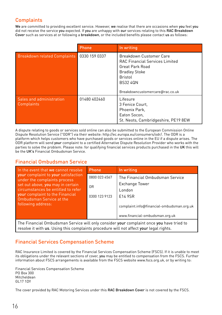# **Complaints**

We are committed to providing excellent service. However, we realise that there are occasions when you feel you did not receive the service you expected. If you are unhappy with our services relating to this RAC Breakdown Cover such as services at or following a breakdown, or the included benefits please contact us as follows:

|                                               | Phone         | In writing                                                                                                                                                                                 |
|-----------------------------------------------|---------------|--------------------------------------------------------------------------------------------------------------------------------------------------------------------------------------------|
| <b>Breakdown related Complaints</b>           | 0330 159 0337 | Breakdown Customer Care<br><b>RAC Financial Services Limited</b><br><b>Great Park Road</b><br><b>Bradley Stoke</b><br><b>Bristol</b><br><b>BS32 40N</b><br>Breakdowncustomercare@rac.co.uk |
| Sales and administration<br><b>Complaints</b> | 01480 402460  | Lifesure<br>3 Fenice Court,<br>Phoenix Park.<br>Eaton Socon,<br>St. Neots, Cambridgeshire, PE19 8EW                                                                                        |

A dispute relating to goods or services sold online can also be submitted to the European Commission Online Dispute Resolution Service ("ODR") via their website: http://ec.europa.eu/consumers/odr/. The ODR is a platform which helps customers who have purchased goods or services online in the EU if a dispute arises. The ODR platform will send your complaint to a certified Alternative Dispute Resolution Provider who works with the parties to solve the problem. Please note: for qualifying financial services products purchased in the UK this will be the UK's Financial Ombudsman Service.

### Financial Ombudsman Service

| In the event that we cannot resolve                                 | Phone          | In writing                                |
|---------------------------------------------------------------------|----------------|-------------------------------------------|
| your complaint to your satisfaction<br>under the complaints process | 0800 023 4567  | The Financial Ombudsman Service           |
| set out above, you may in certain                                   | 0 <sub>R</sub> | <b>Exchange Tower</b>                     |
| circumstances be entitled to refer                                  |                | London                                    |
| your complaint to the Financial<br>Ombudsman Service at the         | 0300 123 9123  | F14 9SR                                   |
| following address:                                                  |                | complaint.info@financial-ombudsman.org.uk |
|                                                                     |                | www.financial-ombudsman.org.uk            |

The Financial Ombudsman Service will only consider your complaint once you have tried to resolve it with us. Using this complaints procedure will not affect your legal rights.

# Financial Services Compensation Scheme

RAC Insurance Limited is covered by the Financial Services Compensation Scheme (FSCS). If it is unable to meet its obligations under the relevant sections of cover, you may be entitled to compensation from the FSCS. Further information about FSCS arrangements is available from the FSCS website www.fscs.org.uk, or by writing to:

Financial Services Compensation Scheme PO Box 300 Mitcheldean GL17 1DY

The cover provided by RAC Motoring Services under this RAC Breakdown Cover is not covered by the FSCS.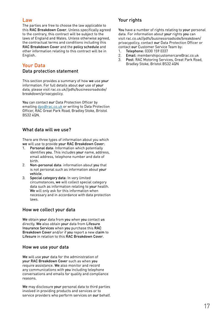#### Law

The parties are free to choose the law applicable to this RAC Breakdown Cover. Unless specifically agreed to the contrary, this contract will be subject to the laws of England and Wales. Unless otherwise agreed, the contractual terms and conditions including this RAC Breakdown Cover and the policy schedule and other information relating to this contract will be in English.

# Your Data

#### Data protection statement

This section provides a summary of how we use your information. For full details about our use of your data, please visit rac.co.uk//pdfs/businessroadside/ breakdown/privacypolicy.

You can contact our Data Protection Officer by emailing [dpo@rac.co.uk](mailto:dpo@rac.co.uk) or writing to Data Protection Officer, RAC Great Park Road, Bradley Stoke, Bristol BS32 40N

### What data will we use?

There are three types of information about you which we will use to provide your RAC Breakdown Cover:

- 1. Personal data: Information which potentially identifies you. This includes your name, address, email address, telephone number and date of birth.
- 2. Non-personal data: information about you that is not personal such as information about your vehicle.
- 3. Special category data: In very limited circumstances, we will collect special category data such as information relating to your health. We will only ask for this information when necessary and in accordance with data protection laws.

#### How we collect your data

We obtain your data from you when you contact us directly. We also obtain your data from Lifesure Insurance Services when you purchase this RAC Breakdown Cover and/or if you report a new claim to Lifesure in relation to this RAC Breakdown Cover.

#### How we use your data

We will use your data for the administration of your RAC Breakdown Cover such as when you require assistance. We also monitor and record any communications with you including telephone conversations and emails for quality and compliance reasons.

We may disclosure your personal data to third parties involved in providing products and services or to service providers who perform services on our behalf.

### Your rights

You have a number of rights relating to your personal data. For information about your rights you can visit rac.co.uk//pdfs/businessroadside/breakdown/ privacypolicy, contact our Data Protection Officer or contact our Customer Service Team by:<br>1. Telephone: 0330 159 0337

- 1. Telephone: 0330 159 0337<br>2. Email: membershipcustor
- 2. Email: membershipcustomercare@rac.co.uk<br>3. Post: RAC Motoring Services, Great Park Roa
- Post: RAC Motoring Services, Great Park Road, Bradley Stoke, Bristol BS32 4QN